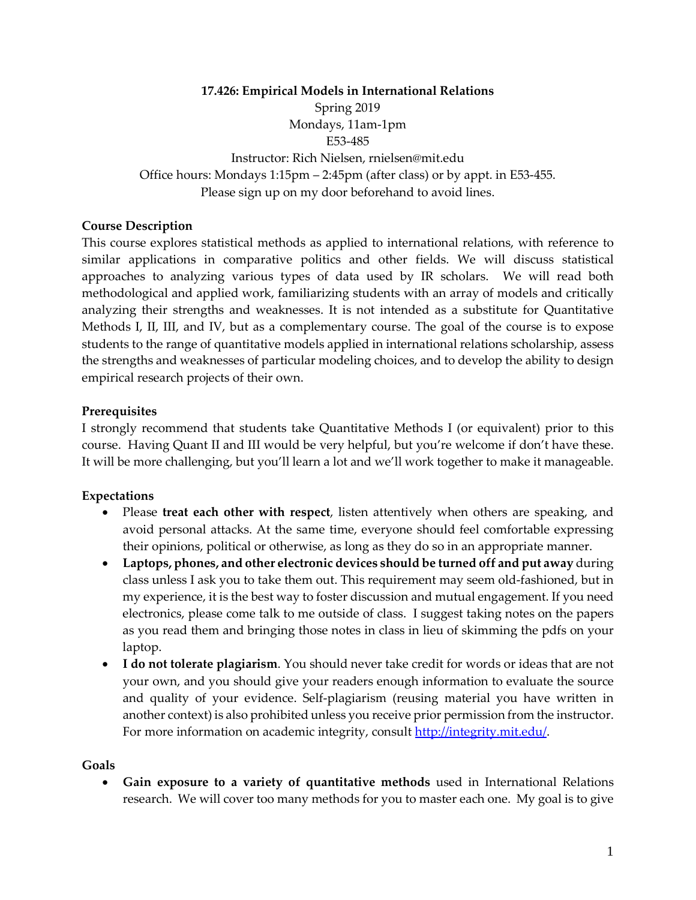**17.426: Empirical Models in International Relations** Spring 2019 Mondays, 11am-1pm E53-485 Instructor: Rich Nielsen, rnielsen@mit.edu Office hours: Mondays 1:15pm – 2:45pm (after class) or by appt. in E53-455. Please sign up on my door beforehand to avoid lines.

### **Course Description**

This course explores statistical methods as applied to international relations, with reference to similar applications in comparative politics and other fields. We will discuss statistical approaches to analyzing various types of data used by IR scholars. We will read both methodological and applied work, familiarizing students with an array of models and critically analyzing their strengths and weaknesses. It is not intended as a substitute for Quantitative Methods I, II, III, and IV, but as a complementary course. The goal of the course is to expose students to the range of quantitative models applied in international relations scholarship, assess the strengths and weaknesses of particular modeling choices, and to develop the ability to design empirical research projects of their own.

#### **Prerequisites**

I strongly recommend that students take Quantitative Methods I (or equivalent) prior to this course. Having Quant II and III would be very helpful, but you're welcome if don't have these. It will be more challenging, but you'll learn a lot and we'll work together to make it manageable.

#### **Expectations**

- Please **treat each other with respect**, listen attentively when others are speaking, and avoid personal attacks. At the same time, everyone should feel comfortable expressing their opinions, political or otherwise, as long as they do so in an appropriate manner.
- **Laptops, phones, and other electronic devices should be turned off and put away** during class unless I ask you to take them out. This requirement may seem old-fashioned, but in my experience, it is the best way to foster discussion and mutual engagement. If you need electronics, please come talk to me outside of class. I suggest taking notes on the papers as you read them and bringing those notes in class in lieu of skimming the pdfs on your laptop.
- **I do not tolerate plagiarism**. You should never take credit for words or ideas that are not your own, and you should give your readers enough information to evaluate the source and quality of your evidence. Self-plagiarism (reusing material you have written in another context) is also prohibited unless you receive prior permission from the instructor. For more information on academic integrity, consult [http://integrity.mit.edu/.](http://integrity.mit.edu/)

#### **Goals**

• **Gain exposure to a variety of quantitative methods** used in International Relations research. We will cover too many methods for you to master each one. My goal is to give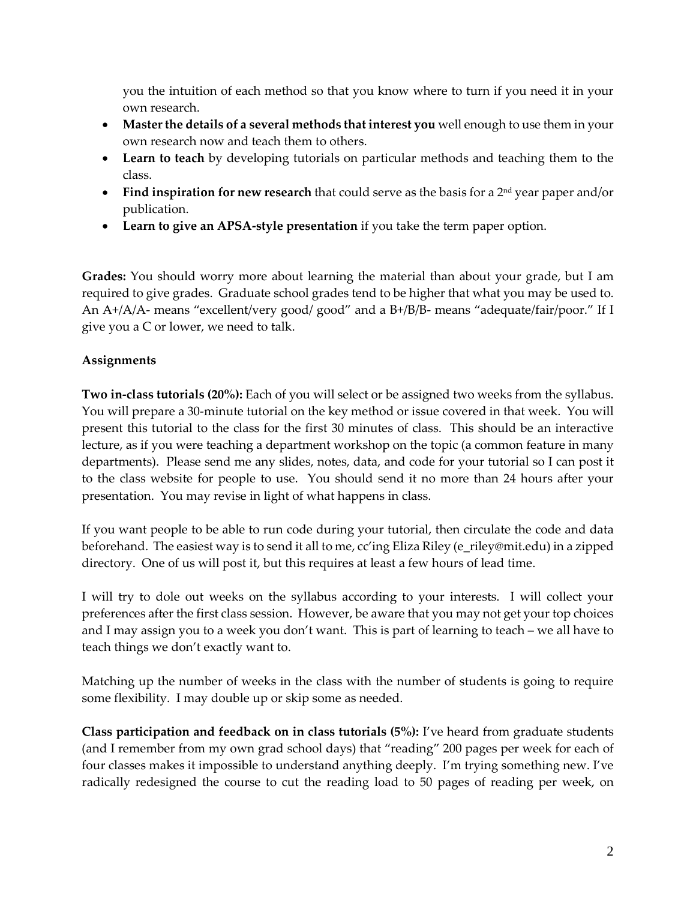you the intuition of each method so that you know where to turn if you need it in your own research.

- **Master the details of a several methods that interest you** well enough to use them in your own research now and teach them to others.
- **Learn to teach** by developing tutorials on particular methods and teaching them to the class.
- **Find inspiration for new research** that could serve as the basis for a 2<sup>nd</sup> year paper and/or publication.
- **Learn to give an APSA-style presentation** if you take the term paper option.

**Grades:** You should worry more about learning the material than about your grade, but I am required to give grades. Graduate school grades tend to be higher that what you may be used to. An A+/A/A- means "excellent/very good/ good" and a B+/B/B- means "adequate/fair/poor." If I give you a C or lower, we need to talk.

# **Assignments**

**Two in-class tutorials (20%):** Each of you will select or be assigned two weeks from the syllabus. You will prepare a 30-minute tutorial on the key method or issue covered in that week. You will present this tutorial to the class for the first 30 minutes of class. This should be an interactive lecture, as if you were teaching a department workshop on the topic (a common feature in many departments). Please send me any slides, notes, data, and code for your tutorial so I can post it to the class website for people to use. You should send it no more than 24 hours after your presentation. You may revise in light of what happens in class.

If you want people to be able to run code during your tutorial, then circulate the code and data beforehand. The easiest way is to send it all to me, cc'ing Eliza Riley (e\_riley@mit.edu) in a zipped directory. One of us will post it, but this requires at least a few hours of lead time.

I will try to dole out weeks on the syllabus according to your interests. I will collect your preferences after the first class session. However, be aware that you may not get your top choices and I may assign you to a week you don't want. This is part of learning to teach – we all have to teach things we don't exactly want to.

Matching up the number of weeks in the class with the number of students is going to require some flexibility. I may double up or skip some as needed.

**Class participation and feedback on in class tutorials (5%):** I've heard from graduate students (and I remember from my own grad school days) that "reading" 200 pages per week for each of four classes makes it impossible to understand anything deeply. I'm trying something new. I've radically redesigned the course to cut the reading load to 50 pages of reading per week, on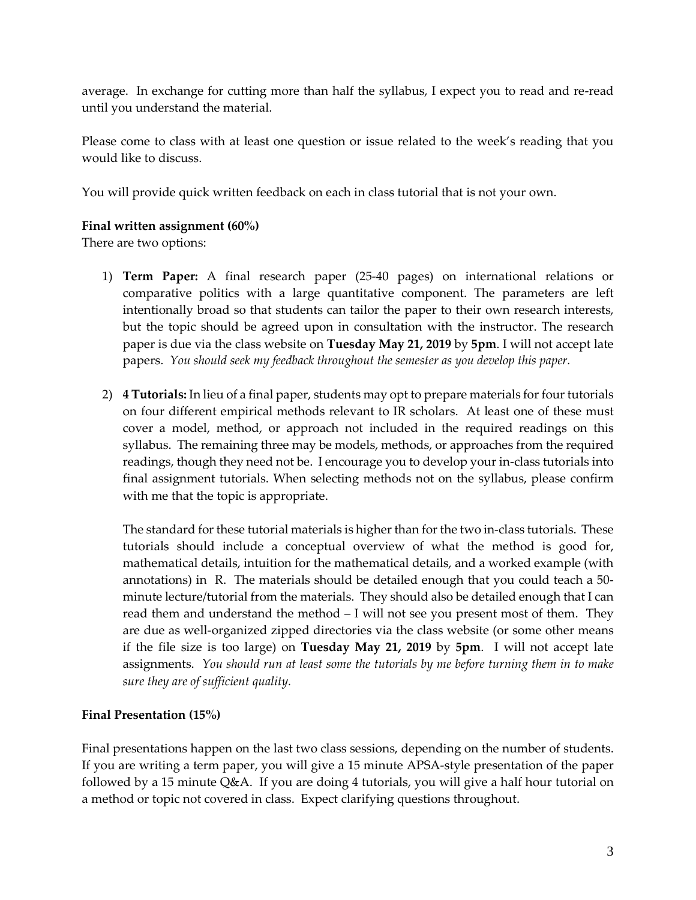average. In exchange for cutting more than half the syllabus, I expect you to read and re-read until you understand the material.

Please come to class with at least one question or issue related to the week's reading that you would like to discuss.

You will provide quick written feedback on each in class tutorial that is not your own.

### **Final written assignment (60%)**

There are two options:

- 1) **Term Paper:** A final research paper (25-40 pages) on international relations or comparative politics with a large quantitative component. The parameters are left intentionally broad so that students can tailor the paper to their own research interests, but the topic should be agreed upon in consultation with the instructor. The research paper is due via the class website on **Tuesday May 21, 2019** by **5pm**. I will not accept late papers. *You should seek my feedback throughout the semester as you develop this paper.*
- 2) **4 Tutorials:** In lieu of a final paper, students may opt to prepare materials for four tutorials on four different empirical methods relevant to IR scholars. At least one of these must cover a model, method, or approach not included in the required readings on this syllabus. The remaining three may be models, methods, or approaches from the required readings, though they need not be. I encourage you to develop your in-class tutorials into final assignment tutorials. When selecting methods not on the syllabus, please confirm with me that the topic is appropriate.

The standard for these tutorial materials is higher than for the two in-class tutorials. These tutorials should include a conceptual overview of what the method is good for, mathematical details, intuition for the mathematical details, and a worked example (with annotations) in R. The materials should be detailed enough that you could teach a 50 minute lecture/tutorial from the materials. They should also be detailed enough that I can read them and understand the method – I will not see you present most of them. They are due as well-organized zipped directories via the class website (or some other means if the file size is too large) on **Tuesday May 21, 2019** by **5pm**. I will not accept late assignments. *You should run at least some the tutorials by me before turning them in to make sure they are of sufficient quality.*

# **Final Presentation (15%)**

Final presentations happen on the last two class sessions, depending on the number of students. If you are writing a term paper, you will give a 15 minute APSA-style presentation of the paper followed by a 15 minute Q&A. If you are doing 4 tutorials, you will give a half hour tutorial on a method or topic not covered in class. Expect clarifying questions throughout.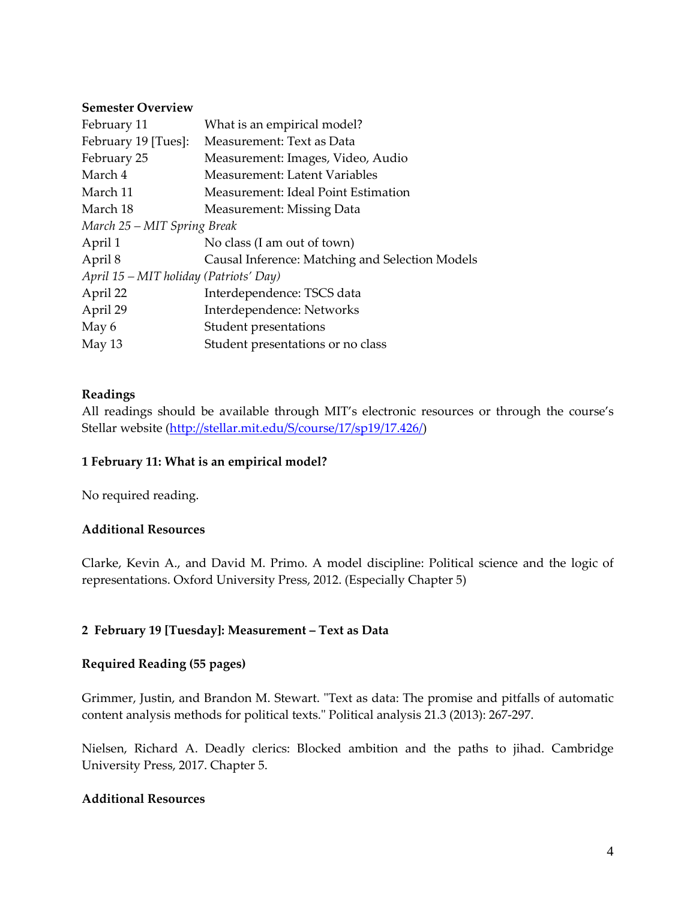#### **Semester Overview**

| February 11                            | What is an empirical model?                     |
|----------------------------------------|-------------------------------------------------|
| February 19 [Tues]:                    | Measurement: Text as Data                       |
| February 25                            | Measurement: Images, Video, Audio               |
| March 4                                | Measurement: Latent Variables                   |
| March 11                               | Measurement: Ideal Point Estimation             |
| March 18                               | Measurement: Missing Data                       |
| March 25 – MIT Spring Break            |                                                 |
| April 1                                | No class (I am out of town)                     |
| April 8                                | Causal Inference: Matching and Selection Models |
| April 15 – MIT holiday (Patriots' Day) |                                                 |
| April 22                               | Interdependence: TSCS data                      |
| April 29                               | Interdependence: Networks                       |
| May 6                                  | Student presentations                           |
| May $13$                               | Student presentations or no class               |

### **Readings**

All readings should be available through MIT's electronic resources or through the course's Stellar website [\(http://stellar.mit.edu/S/course/17/sp19/17.426/\)](http://stellar.mit.edu/S/course/17/sp19/17.426/)

### **1 February 11: What is an empirical model?**

No required reading.

#### **Additional Resources**

Clarke, Kevin A., and David M. Primo. A model discipline: Political science and the logic of representations. Oxford University Press, 2012. (Especially Chapter 5)

### **2 February 19 [Tuesday]: Measurement – Text as Data**

#### **Required Reading (55 pages)**

Grimmer, Justin, and Brandon M. Stewart. "Text as data: The promise and pitfalls of automatic content analysis methods for political texts." Political analysis 21.3 (2013): 267-297.

Nielsen, Richard A. Deadly clerics: Blocked ambition and the paths to jihad. Cambridge University Press, 2017. Chapter 5.

### **Additional Resources**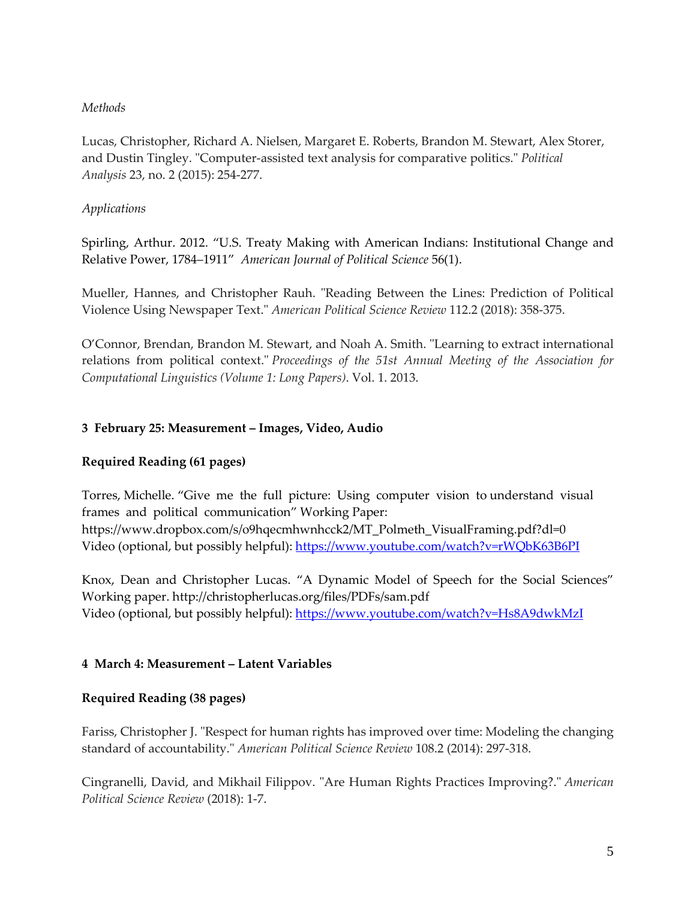### *Methods*

Lucas, Christopher, Richard A. Nielsen, Margaret E. Roberts, Brandon M. Stewart, Alex Storer, and Dustin Tingley. "Computer-assisted text analysis for comparative politics." *Political Analysis* 23, no. 2 (2015): 254-277.

### *Applications*

Spirling, Arthur. 2012. "U.S. Treaty Making with American Indians: Institutional Change and Relative Power, 1784–1911" *American Journal of Political Science* 56(1).

Mueller, Hannes, and Christopher Rauh. "Reading Between the Lines: Prediction of Political Violence Using Newspaper Text." *American Political Science Review* 112.2 (2018): 358-375.

O'Connor, Brendan, Brandon M. Stewart, and Noah A. Smith. "Learning to extract international relations from political context." *Proceedings of the 51st Annual Meeting of the Association for Computational Linguistics (Volume 1: Long Papers)*. Vol. 1. 2013.

# **3 February 25: Measurement – Images, Video, Audio**

# **Required Reading (61 pages)**

Torres, Michelle. "Give me the full picture: Using computer vision to understand visual frames and political communication" Working Paper: https://www.dropbox.com/s/o9hqecmhwnhcck2/MT\_Polmeth\_VisualFraming.pdf?dl=0 Video (optional, but possibly helpful):<https://www.youtube.com/watch?v=rWQbK63B6PI>

Knox, Dean and Christopher Lucas. "A Dynamic Model of Speech for the Social Sciences" Working paper. http://christopherlucas.org/files/PDFs/sam.pdf Video (optional, but possibly helpful):<https://www.youtube.com/watch?v=Hs8A9dwkMzI>

### **4 March 4: Measurement – Latent Variables**

### **Required Reading (38 pages)**

Fariss, Christopher J. "Respect for human rights has improved over time: Modeling the changing standard of accountability." *American Political Science Review* 108.2 (2014): 297-318.

Cingranelli, David, and Mikhail Filippov. "Are Human Rights Practices Improving?." *American Political Science Review* (2018): 1-7.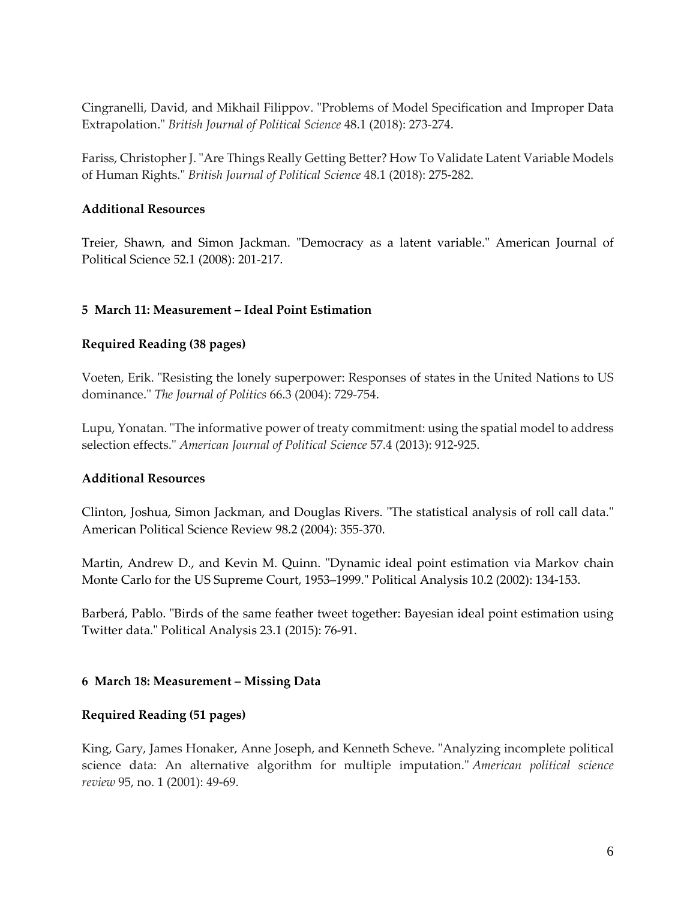Cingranelli, David, and Mikhail Filippov. "Problems of Model Specification and Improper Data Extrapolation." *British Journal of Political Science* 48.1 (2018): 273-274.

Fariss, Christopher J. "Are Things Really Getting Better? How To Validate Latent Variable Models of Human Rights." *British Journal of Political Science* 48.1 (2018): 275-282.

### **Additional Resources**

Treier, Shawn, and Simon Jackman. "Democracy as a latent variable." American Journal of Political Science 52.1 (2008): 201-217.

### **5 March 11: Measurement – Ideal Point Estimation**

### **Required Reading (38 pages)**

Voeten, Erik. "Resisting the lonely superpower: Responses of states in the United Nations to US dominance." *The Journal of Politics* 66.3 (2004): 729-754.

Lupu, Yonatan. "The informative power of treaty commitment: using the spatial model to address selection effects." *American Journal of Political Science* 57.4 (2013): 912-925.

### **Additional Resources**

Clinton, Joshua, Simon Jackman, and Douglas Rivers. "The statistical analysis of roll call data." American Political Science Review 98.2 (2004): 355-370.

Martin, Andrew D., and Kevin M. Quinn. "Dynamic ideal point estimation via Markov chain Monte Carlo for the US Supreme Court, 1953–1999." Political Analysis 10.2 (2002): 134-153.

Barberá, Pablo. "Birds of the same feather tweet together: Bayesian ideal point estimation using Twitter data." Political Analysis 23.1 (2015): 76-91.

### **6 March 18: Measurement – Missing Data**

### **Required Reading (51 pages)**

King, Gary, James Honaker, Anne Joseph, and Kenneth Scheve. "Analyzing incomplete political science data: An alternative algorithm for multiple imputation." *American political science review* 95, no. 1 (2001): 49-69.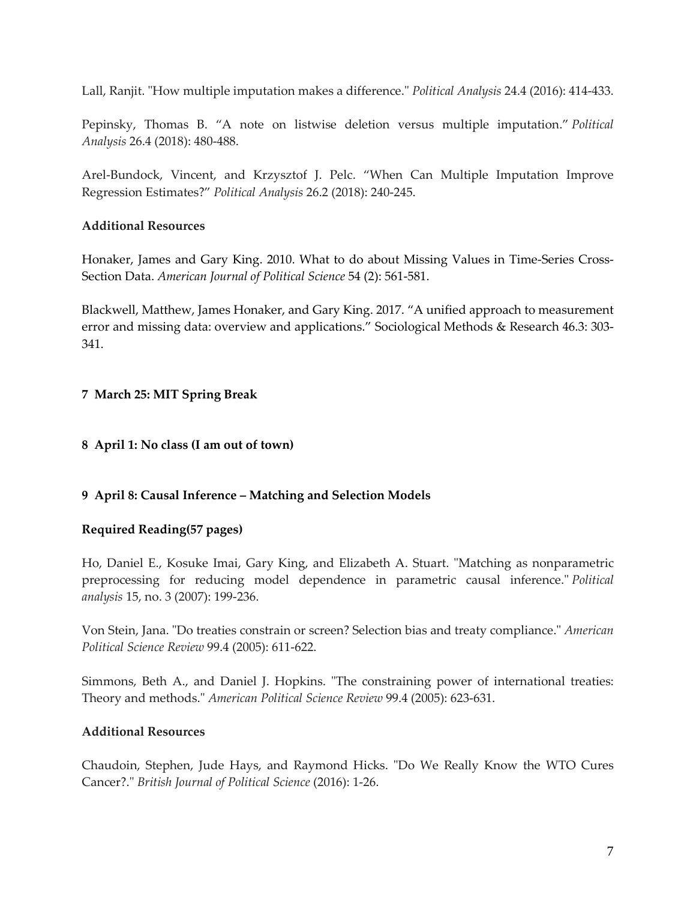Lall, Ranjit. "How multiple imputation makes a difference." *Political Analysis* 24.4 (2016): 414-433.

Pepinsky, Thomas B. "A note on listwise deletion versus multiple imputation." *Political Analysis* 26.4 (2018): 480-488.

Arel-Bundock, Vincent, and Krzysztof J. Pelc. "When Can Multiple Imputation Improve Regression Estimates?" *Political Analysis* 26.2 (2018): 240-245.

# **Additional Resources**

Honaker, James and Gary King. 2010. What to do about Missing Values in Time-Series Cross-Section Data. *American Journal of Political Science* 54 (2): 561-581.

Blackwell, Matthew, James Honaker, and Gary King. 2017. "A unified approach to measurement error and missing data: overview and applications." Sociological Methods & Research 46.3: 303- 341.

# **7 March 25: MIT Spring Break**

### **8 April 1: No class (I am out of town)**

### **9 April 8: Causal Inference – Matching and Selection Models**

### **Required Reading(57 pages)**

Ho, Daniel E., Kosuke Imai, Gary King, and Elizabeth A. Stuart. "Matching as nonparametric preprocessing for reducing model dependence in parametric causal inference." *Political analysis* 15, no. 3 (2007): 199-236.

Von Stein, Jana. "Do treaties constrain or screen? Selection bias and treaty compliance." *American Political Science Review* 99.4 (2005): 611-622.

Simmons, Beth A., and Daniel J. Hopkins. "The constraining power of international treaties: Theory and methods." *American Political Science Review* 99.4 (2005): 623-631.

# **Additional Resources**

Chaudoin, Stephen, Jude Hays, and Raymond Hicks. "Do We Really Know the WTO Cures Cancer?." *British Journal of Political Science* (2016): 1-26.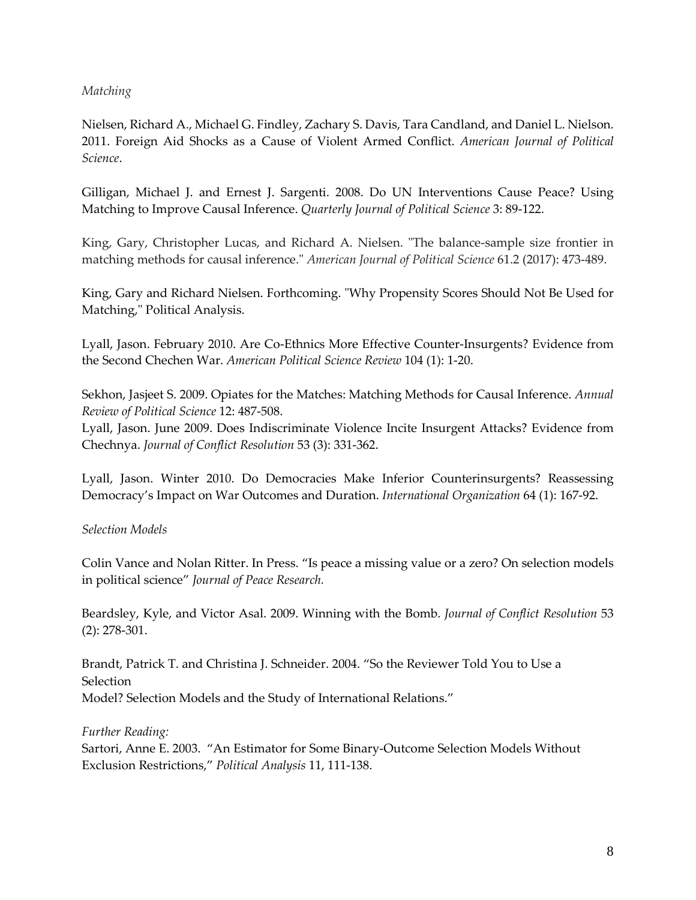### *Matching*

Nielsen, Richard A., Michael G. Findley, Zachary S. Davis, Tara Candland, and Daniel L. Nielson. 2011. Foreign Aid Shocks as a Cause of Violent Armed Conflict. *American Journal of Political Science*.

Gilligan, Michael J. and Ernest J. Sargenti. 2008. Do UN Interventions Cause Peace? Using Matching to Improve Causal Inference. *Quarterly Journal of Political Science* 3: 89-122.

King, Gary, Christopher Lucas, and Richard A. Nielsen. "The balance-sample size frontier in matching methods for causal inference." *American Journal of Political Science* 61.2 (2017): 473-489.

King, Gary and Richard Nielsen. Forthcoming. "Why Propensity Scores Should Not Be Used for Matching," Political Analysis.

Lyall, Jason. February 2010. Are Co-Ethnics More Effective Counter-Insurgents? Evidence from the Second Chechen War. *American Political Science Review* 104 (1): 1-20.

Sekhon, Jasjeet S. 2009. Opiates for the Matches: Matching Methods for Causal Inference. *Annual Review of Political Science* 12: 487-508.

Lyall, Jason. June 2009. Does Indiscriminate Violence Incite Insurgent Attacks? Evidence from Chechnya. *Journal of Conflict Resolution* 53 (3): 331-362.

Lyall, Jason. Winter 2010. Do Democracies Make Inferior Counterinsurgents? Reassessing Democracy's Impact on War Outcomes and Duration. *International Organization* 64 (1): 167-92.

### *Selection Models*

Colin Vance and Nolan Ritter. In Press. "Is peace a missing value or a zero? On selection models in political science" *Journal of Peace Research.*

Beardsley, Kyle, and Victor Asal. 2009. Winning with the Bomb. *Journal of Conflict Resolution* 53 (2): 278-301.

Brandt, Patrick T. and Christina J. Schneider. 2004. "So the Reviewer Told You to Use a **Selection** Model? Selection Models and the Study of International Relations."

*Further Reading:* Sartori, Anne E. 2003. "An Estimator for Some Binary-Outcome Selection Models Without Exclusion Restrictions," *Political Analysis* 11, 111-138.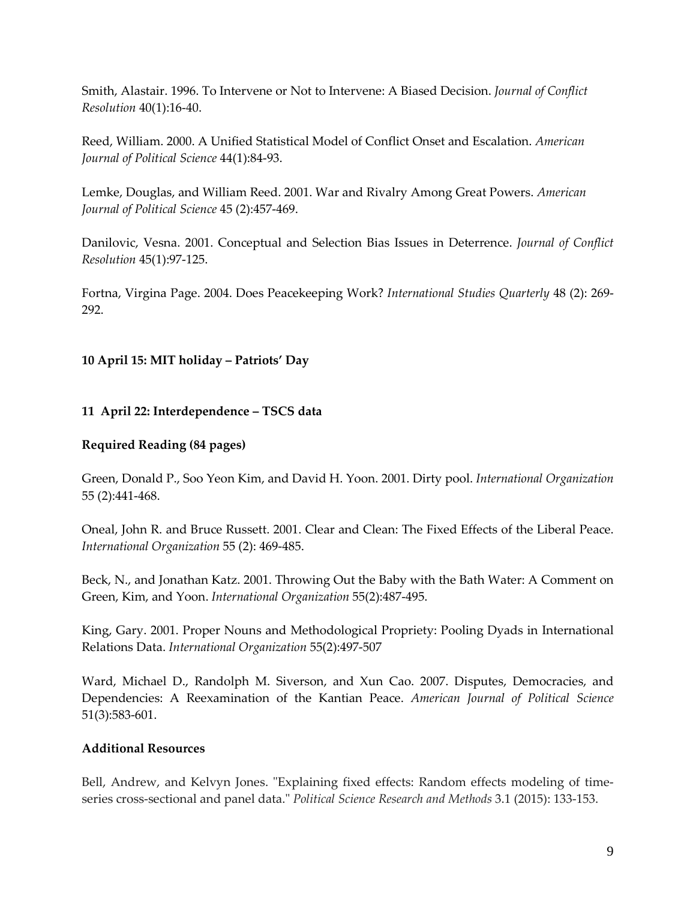Smith, Alastair. 1996. To Intervene or Not to Intervene: A Biased Decision. *Journal of Conflict Resolution* 40(1):16-40.

Reed, William. 2000. A Unified Statistical Model of Conflict Onset and Escalation. *American Journal of Political Science* 44(1):84-93.

Lemke, Douglas, and William Reed. 2001. War and Rivalry Among Great Powers. *American Journal of Political Science* 45 (2):457-469.

Danilovic, Vesna. 2001. Conceptual and Selection Bias Issues in Deterrence. *Journal of Conflict Resolution* 45(1):97-125.

Fortna, Virgina Page. 2004. Does Peacekeeping Work? *International Studies Quarterly* 48 (2): 269- 292.

### **10 April 15: MIT holiday – Patriots' Day**

### **11 April 22: Interdependence – TSCS data**

### **Required Reading (84 pages)**

Green, Donald P., Soo Yeon Kim, and David H. Yoon. 2001. Dirty pool. *International Organization* 55 (2):441-468.

Oneal, John R. and Bruce Russett. 2001. Clear and Clean: The Fixed Effects of the Liberal Peace. *International Organization* 55 (2): 469-485.

Beck, N., and Jonathan Katz. 2001. Throwing Out the Baby with the Bath Water: A Comment on Green, Kim, and Yoon. *International Organization* 55(2):487-495.

King, Gary. 2001. Proper Nouns and Methodological Propriety: Pooling Dyads in International Relations Data. *International Organization* 55(2):497-507

Ward, Michael D., Randolph M. Siverson, and Xun Cao. 2007. Disputes, Democracies, and Dependencies: A Reexamination of the Kantian Peace. *American Journal of Political Science* 51(3):583-601.

### **Additional Resources**

Bell, Andrew, and Kelvyn Jones. "Explaining fixed effects: Random effects modeling of timeseries cross-sectional and panel data." *Political Science Research and Methods* 3.1 (2015): 133-153.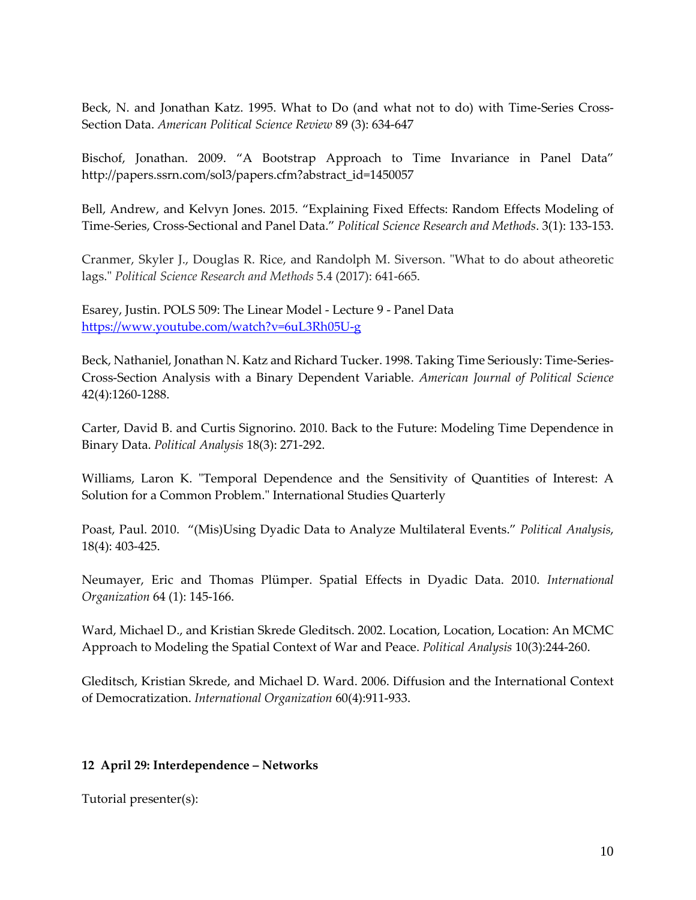Beck, N. and Jonathan Katz. 1995. What to Do (and what not to do) with Time-Series Cross-Section Data. *American Political Science Review* 89 (3): 634-647

Bischof, Jonathan. 2009. "A Bootstrap Approach to Time Invariance in Panel Data" http://papers.ssrn.com/sol3/papers.cfm?abstract\_id=1450057

Bell, Andrew, and Kelvyn Jones. 2015. "Explaining Fixed Effects: Random Effects Modeling of Time-Series, Cross-Sectional and Panel Data." *Political Science Research and Methods*. 3(1): 133-153.

Cranmer, Skyler J., Douglas R. Rice, and Randolph M. Siverson. "What to do about atheoretic lags." *Political Science Research and Methods* 5.4 (2017): 641-665.

Esarey, Justin. POLS 509: The Linear Model - Lecture 9 - Panel Data <https://www.youtube.com/watch?v=6uL3Rh05U-g>

Beck, Nathaniel, Jonathan N. Katz and Richard Tucker. 1998. Taking Time Seriously: Time-Series-Cross-Section Analysis with a Binary Dependent Variable. *American Journal of Political Science* 42(4):1260-1288.

Carter, David B. and Curtis Signorino. 2010. Back to the Future: Modeling Time Dependence in Binary Data. *Political Analysis* 18(3): 271-292.

Williams, Laron K. "Temporal Dependence and the Sensitivity of Quantities of Interest: A Solution for a Common Problem." International Studies Quarterly

Poast, Paul. 2010. "(Mis)Using Dyadic Data to Analyze Multilateral Events." *Political Analysis*, 18(4): 403-425.

Neumayer, Eric and Thomas Plümper. Spatial Effects in Dyadic Data. 2010. *International Organization* 64 (1): 145-166.

Ward, Michael D., and Kristian Skrede Gleditsch. 2002. Location, Location, Location: An MCMC Approach to Modeling the Spatial Context of War and Peace. *Political Analysis* 10(3):244-260.

Gleditsch, Kristian Skrede, and Michael D. Ward. 2006. Diffusion and the International Context of Democratization. *International Organization* 60(4):911-933.

# **12 April 29: Interdependence – Networks**

Tutorial presenter(s):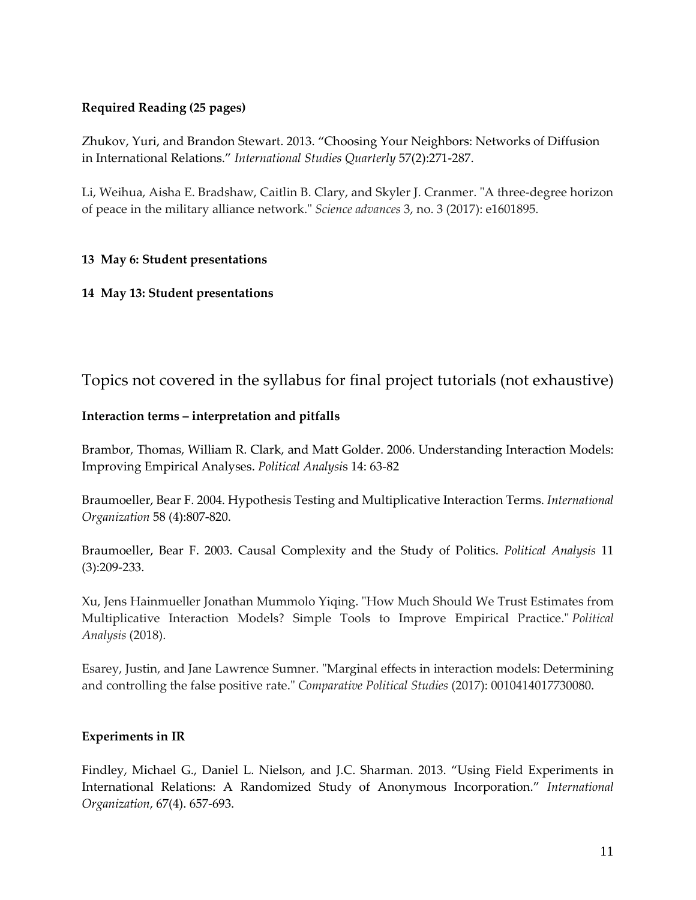# **Required Reading (25 pages)**

Zhukov, Yuri, and Brandon Stewart. 2013. "Choosing Your Neighbors: Networks of Diffusion in International Relations." *International Studies Quarterly* 57(2):271-287.

Li, Weihua, Aisha E. Bradshaw, Caitlin B. Clary, and Skyler J. Cranmer. "A three-degree horizon of peace in the military alliance network." *Science advances* 3, no. 3 (2017): e1601895.

### **13 May 6: Student presentations**

### **14 May 13: Student presentations**

# Topics not covered in the syllabus for final project tutorials (not exhaustive)

### **Interaction terms – interpretation and pitfalls**

Brambor, Thomas, William R. Clark, and Matt Golder. 2006. Understanding Interaction Models: Improving Empirical Analyses. *Political Analysi*s 14: 63-82

Braumoeller, Bear F. 2004. Hypothesis Testing and Multiplicative Interaction Terms. *International Organization* 58 (4):807-820.

Braumoeller, Bear F. 2003. Causal Complexity and the Study of Politics. *Political Analysis* 11 (3):209-233.

Xu, Jens Hainmueller Jonathan Mummolo Yiqing. "How Much Should We Trust Estimates from Multiplicative Interaction Models? Simple Tools to Improve Empirical Practice." *Political Analysis* (2018).

Esarey, Justin, and Jane Lawrence Sumner. "Marginal effects in interaction models: Determining and controlling the false positive rate." *Comparative Political Studies* (2017): 0010414017730080.

### **Experiments in IR**

Findley, Michael G., Daniel L. Nielson, and J.C. Sharman. 2013. "Using Field Experiments in International Relations: A Randomized Study of Anonymous Incorporation." *International Organization*, 67(4). 657-693.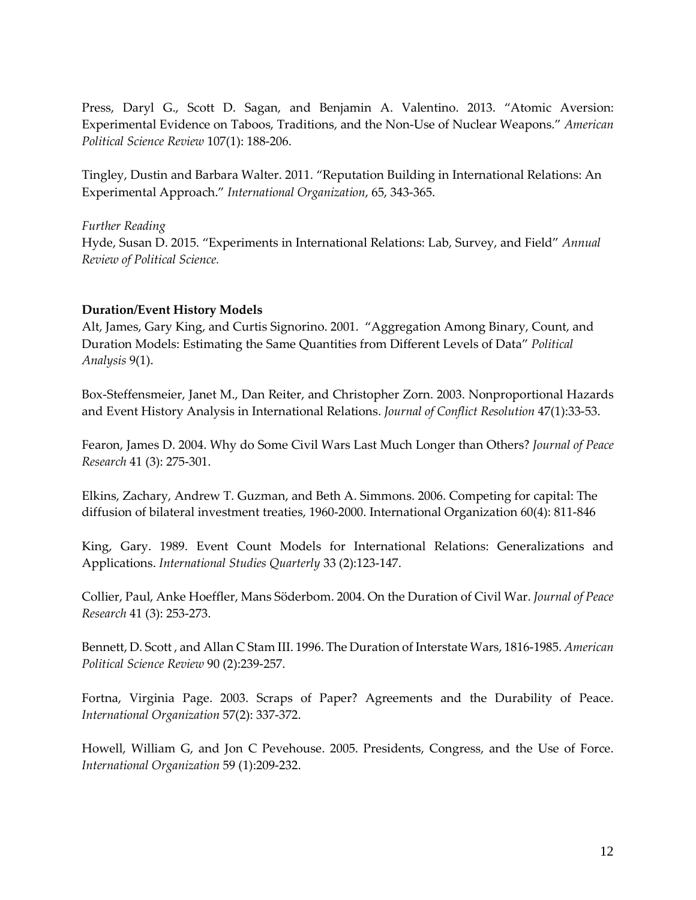Press, Daryl G., Scott D. Sagan, and Benjamin A. Valentino. 2013. "Atomic Aversion: Experimental Evidence on Taboos, Traditions, and the Non-Use of Nuclear Weapons." *American Political Science Review* 107(1): 188-206.

Tingley, Dustin and Barbara Walter. 2011. "Reputation Building in International Relations: An Experimental Approach." *International Organization*, 65, 343-365.

*Further Reading* Hyde, Susan D. 2015. "Experiments in International Relations: Lab, Survey, and Field" *Annual Review of Political Science.*

### **Duration/Event History Models**

Alt, James, Gary King, and Curtis Signorino. 2001. "Aggregation Among Binary, Count, and Duration Models: Estimating the Same Quantities from Different Levels of Data" *Political Analysis* 9(1).

Box-Steffensmeier, Janet M., Dan Reiter, and Christopher Zorn. 2003. Nonproportional Hazards and Event History Analysis in International Relations. *Journal of Conflict Resolution* 47(1):33-53.

Fearon, James D. 2004. Why do Some Civil Wars Last Much Longer than Others? *Journal of Peace Research* 41 (3): 275-301.

Elkins, Zachary, Andrew T. Guzman, and Beth A. Simmons. 2006. Competing for capital: The diffusion of bilateral investment treaties, 1960-2000. International Organization 60(4): 811-846

King, Gary. 1989. Event Count Models for International Relations: Generalizations and Applications. *International Studies Quarterly* 33 (2):123-147.

Collier, Paul, Anke Hoeffler, Mans Söderbom. 2004. On the Duration of Civil War. *Journal of Peace Research* 41 (3): 253-273.

Bennett, D. Scott , and Allan C Stam III. 1996. The Duration of Interstate Wars, 1816-1985. *American Political Science Review* 90 (2):239-257.

Fortna, Virginia Page. 2003. Scraps of Paper? Agreements and the Durability of Peace. *International Organization* 57(2): 337-372.

Howell, William G, and Jon C Pevehouse. 2005. Presidents, Congress, and the Use of Force. *International Organization* 59 (1):209-232.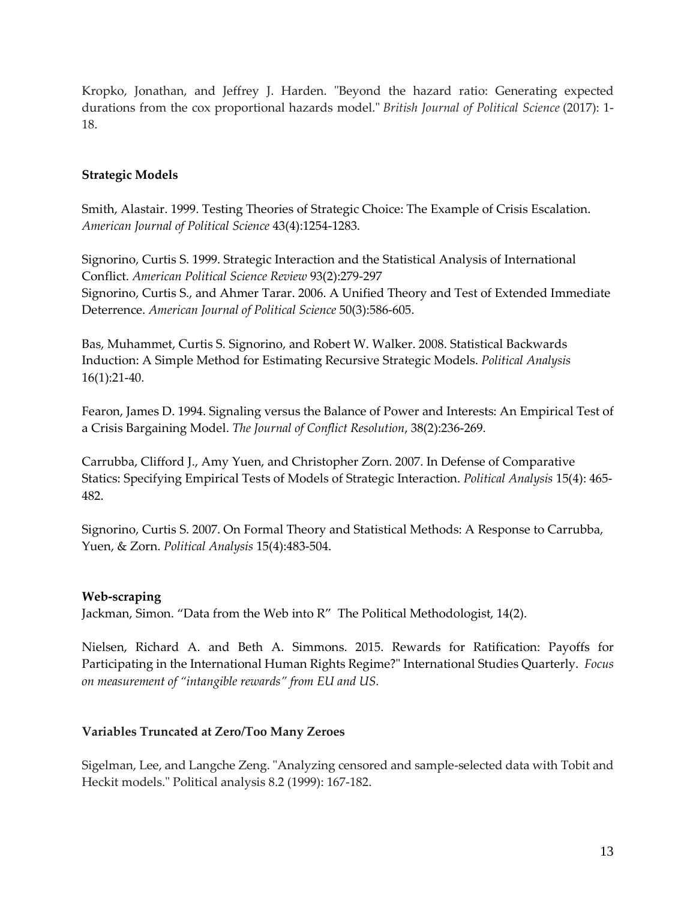Kropko, Jonathan, and Jeffrey J. Harden. "Beyond the hazard ratio: Generating expected durations from the cox proportional hazards model." *British Journal of Political Science* (2017): 1- 18.

### **Strategic Models**

Smith, Alastair. 1999. Testing Theories of Strategic Choice: The Example of Crisis Escalation. *American Journal of Political Science* 43(4):1254-1283.

Signorino, Curtis S. 1999. Strategic Interaction and the Statistical Analysis of International Conflict. *American Political Science Review* 93(2):279-297 Signorino, Curtis S., and Ahmer Tarar. 2006. A Unified Theory and Test of Extended Immediate Deterrence. *American Journal of Political Science* 50(3):586-605.

Bas, Muhammet, Curtis S. Signorino, and Robert W. Walker. 2008. Statistical Backwards Induction: A Simple Method for Estimating Recursive Strategic Models. *Political Analysis* 16(1):21-40.

Fearon, James D. 1994. Signaling versus the Balance of Power and Interests: An Empirical Test of a Crisis Bargaining Model. *The Journal of Conflict Resolution*, 38(2):236-269.

Carrubba, Clifford J., Amy Yuen, and Christopher Zorn. 2007. In Defense of Comparative Statics: Specifying Empirical Tests of Models of Strategic Interaction. *Political Analysis* 15(4): 465- 482.

Signorino, Curtis S. 2007. On Formal Theory and Statistical Methods: A Response to Carrubba, Yuen, & Zorn. *Political Analysis* 15(4):483-504.

### **Web-scraping**

Jackman, Simon. "Data from the Web into R" The Political Methodologist, 14(2).

Nielsen, Richard A. and Beth A. Simmons. 2015. Rewards for Ratification: Payoffs for Participating in the International Human Rights Regime?" International Studies Quarterly. *Focus on measurement of "intangible rewards" from EU and US.*

# **Variables Truncated at Zero/Too Many Zeroes**

Sigelman, Lee, and Langche Zeng. "Analyzing censored and sample-selected data with Tobit and Heckit models." Political analysis 8.2 (1999): 167-182.